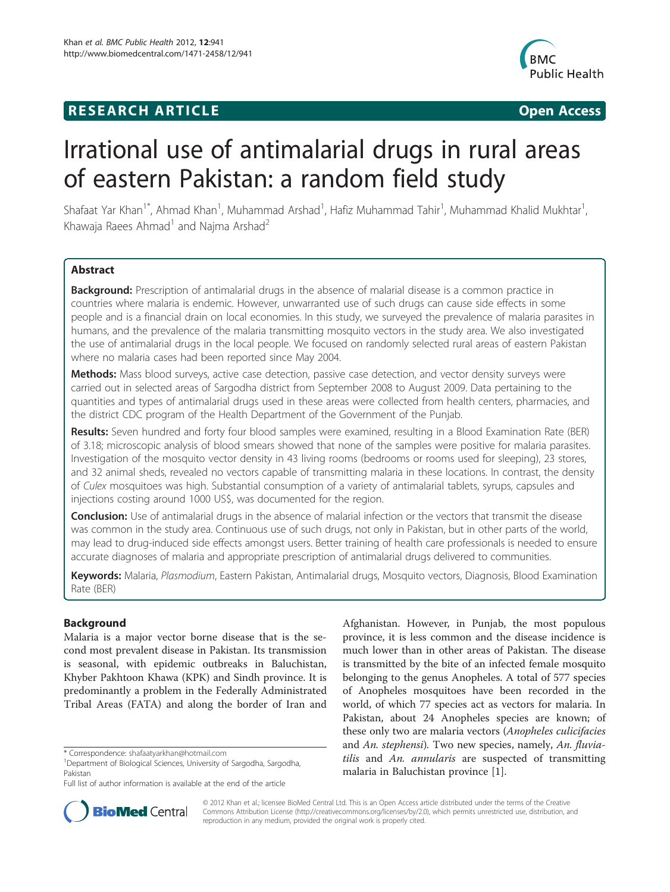# **RESEARCH ARTICLE Example 2014 12:30 THE Open Access**



# Irrational use of antimalarial drugs in rural areas of eastern Pakistan: a random field study

Shafaat Yar Khan<sup>1\*</sup>, Ahmad Khan<sup>1</sup>, Muhammad Arshad<sup>1</sup>, Hafiz Muhammad Tahir<sup>1</sup>, Muhammad Khalid Mukhtar<sup>1</sup> , Khawaja Raees Ahmad<sup>1</sup> and Najma Arshad<sup>2</sup>

# Abstract

Background: Prescription of antimalarial drugs in the absence of malarial disease is a common practice in countries where malaria is endemic. However, unwarranted use of such drugs can cause side effects in some people and is a financial drain on local economies. In this study, we surveyed the prevalence of malaria parasites in humans, and the prevalence of the malaria transmitting mosquito vectors in the study area. We also investigated the use of antimalarial drugs in the local people. We focused on randomly selected rural areas of eastern Pakistan where no malaria cases had been reported since May 2004.

Methods: Mass blood surveys, active case detection, passive case detection, and vector density surveys were carried out in selected areas of Sargodha district from September 2008 to August 2009. Data pertaining to the quantities and types of antimalarial drugs used in these areas were collected from health centers, pharmacies, and the district CDC program of the Health Department of the Government of the Punjab.

Results: Seven hundred and forty four blood samples were examined, resulting in a Blood Examination Rate (BER) of 3.18; microscopic analysis of blood smears showed that none of the samples were positive for malaria parasites. Investigation of the mosquito vector density in 43 living rooms (bedrooms or rooms used for sleeping), 23 stores, and 32 animal sheds, revealed no vectors capable of transmitting malaria in these locations. In contrast, the density of Culex mosquitoes was high. Substantial consumption of a variety of antimalarial tablets, syrups, capsules and injections costing around 1000 US\$, was documented for the region.

**Conclusion:** Use of antimalarial drugs in the absence of malarial infection or the vectors that transmit the disease was common in the study area. Continuous use of such drugs, not only in Pakistan, but in other parts of the world, may lead to drug-induced side effects amongst users. Better training of health care professionals is needed to ensure accurate diagnoses of malaria and appropriate prescription of antimalarial drugs delivered to communities.

Keywords: Malaria, Plasmodium, Eastern Pakistan, Antimalarial drugs, Mosquito vectors, Diagnosis, Blood Examination Rate (BER)

# Background

Malaria is a major vector borne disease that is the second most prevalent disease in Pakistan. Its transmission is seasonal, with epidemic outbreaks in Baluchistan, Khyber Pakhtoon Khawa (KPK) and Sindh province. It is predominantly a problem in the Federally Administrated Tribal Areas (FATA) and along the border of Iran and

Afghanistan. However, in Punjab, the most populous province, it is less common and the disease incidence is much lower than in other areas of Pakistan. The disease is transmitted by the bite of an infected female mosquito belonging to the genus Anopheles. A total of 577 species of Anopheles mosquitoes have been recorded in the world, of which 77 species act as vectors for malaria. In Pakistan, about 24 Anopheles species are known; of these only two are malaria vectors (Anopheles culicifacies and An. stephensi). Two new species, namely, An. fluviatilis and An. annularis are suspected of transmitting malaria in Baluchistan province [\[1](#page-5-0)].



© 2012 Khan et al.; licensee BioMed Central Ltd. This is an Open Access article distributed under the terms of the Creative Commons Attribution License [\(http://creativecommons.org/licenses/by/2.0\)](http://creativecommons.org/licenses/by/2.0), which permits unrestricted use, distribution, and reproduction in any medium, provided the original work is properly cited.

<sup>\*</sup> Correspondence: [shafaatyarkhan@hotmail.com](mailto:shafaatyarkhan@hotmail.com) <sup>1</sup>

<sup>&</sup>lt;sup>1</sup>Department of Biological Sciences, University of Sargodha, Sargodha, Pakistan

Full list of author information is available at the end of the article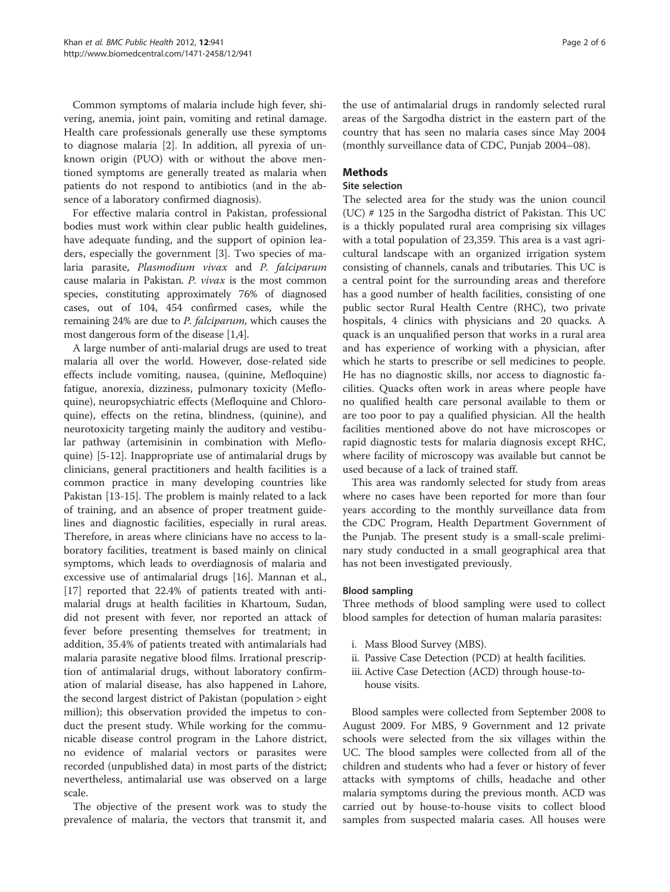Common symptoms of malaria include high fever, shivering, anemia, joint pain, vomiting and retinal damage. Health care professionals generally use these symptoms to diagnose malaria [\[2](#page-5-0)]. In addition, all pyrexia of unknown origin (PUO) with or without the above mentioned symptoms are generally treated as malaria when patients do not respond to antibiotics (and in the absence of a laboratory confirmed diagnosis).

For effective malaria control in Pakistan, professional bodies must work within clear public health guidelines, have adequate funding, and the support of opinion leaders, especially the government [\[3](#page-5-0)]. Two species of malaria parasite, Plasmodium vivax and P. falciparum cause malaria in Pakistan. P. vivax is the most common species, constituting approximately 76% of diagnosed cases, out of 104, 454 confirmed cases, while the remaining 24% are due to P. falciparum, which causes the most dangerous form of the disease [[1](#page-5-0),[4](#page-5-0)].

A large number of anti-malarial drugs are used to treat malaria all over the world. However, dose-related side effects include vomiting, nausea, (quinine, Mefloquine) fatigue, anorexia, dizziness, pulmonary toxicity (Mefloquine), neuropsychiatric effects (Mefloquine and Chloroquine), effects on the retina, blindness, (quinine), and neurotoxicity targeting mainly the auditory and vestibular pathway (artemisinin in combination with Mefloquine) [\[5](#page-5-0)-[12\]](#page-5-0). Inappropriate use of antimalarial drugs by clinicians, general practitioners and health facilities is a common practice in many developing countries like Pakistan [[13-15](#page-5-0)]. The problem is mainly related to a lack of training, and an absence of proper treatment guidelines and diagnostic facilities, especially in rural areas. Therefore, in areas where clinicians have no access to laboratory facilities, treatment is based mainly on clinical symptoms, which leads to overdiagnosis of malaria and excessive use of antimalarial drugs [[16\]](#page-5-0). Mannan et al., [[17\]](#page-5-0) reported that 22.4% of patients treated with antimalarial drugs at health facilities in Khartoum, Sudan, did not present with fever, nor reported an attack of fever before presenting themselves for treatment; in addition, 35.4% of patients treated with antimalarials had malaria parasite negative blood films. Irrational prescription of antimalarial drugs, without laboratory confirmation of malarial disease, has also happened in Lahore, the second largest district of Pakistan (population > eight million); this observation provided the impetus to conduct the present study. While working for the communicable disease control program in the Lahore district, no evidence of malarial vectors or parasites were recorded (unpublished data) in most parts of the district; nevertheless, antimalarial use was observed on a large scale.

The objective of the present work was to study the prevalence of malaria, the vectors that transmit it, and the use of antimalarial drugs in randomly selected rural areas of the Sargodha district in the eastern part of the country that has seen no malaria cases since May 2004 (monthly surveillance data of CDC, Punjab 2004–08).

# **Methods**

# Site selection

The selected area for the study was the union council (UC) # 125 in the Sargodha district of Pakistan. This UC is a thickly populated rural area comprising six villages with a total population of 23,359. This area is a vast agricultural landscape with an organized irrigation system consisting of channels, canals and tributaries. This UC is a central point for the surrounding areas and therefore has a good number of health facilities, consisting of one public sector Rural Health Centre (RHC), two private hospitals, 4 clinics with physicians and 20 quacks. A quack is an unqualified person that works in a rural area and has experience of working with a physician, after which he starts to prescribe or sell medicines to people. He has no diagnostic skills, nor access to diagnostic facilities. Quacks often work in areas where people have no qualified health care personal available to them or are too poor to pay a qualified physician. All the health facilities mentioned above do not have microscopes or rapid diagnostic tests for malaria diagnosis except RHC, where facility of microscopy was available but cannot be used because of a lack of trained staff.

This area was randomly selected for study from areas where no cases have been reported for more than four years according to the monthly surveillance data from the CDC Program, Health Department Government of the Punjab. The present study is a small-scale preliminary study conducted in a small geographical area that has not been investigated previously.

#### Blood sampling

Three methods of blood sampling were used to collect blood samples for detection of human malaria parasites:

- i. Mass Blood Survey (MBS).
- ii. Passive Case Detection (PCD) at health facilities.
- iii. Active Case Detection (ACD) through house-tohouse visits.

Blood samples were collected from September 2008 to August 2009. For MBS, 9 Government and 12 private schools were selected from the six villages within the UC. The blood samples were collected from all of the children and students who had a fever or history of fever attacks with symptoms of chills, headache and other malaria symptoms during the previous month. ACD was carried out by house-to-house visits to collect blood samples from suspected malaria cases. All houses were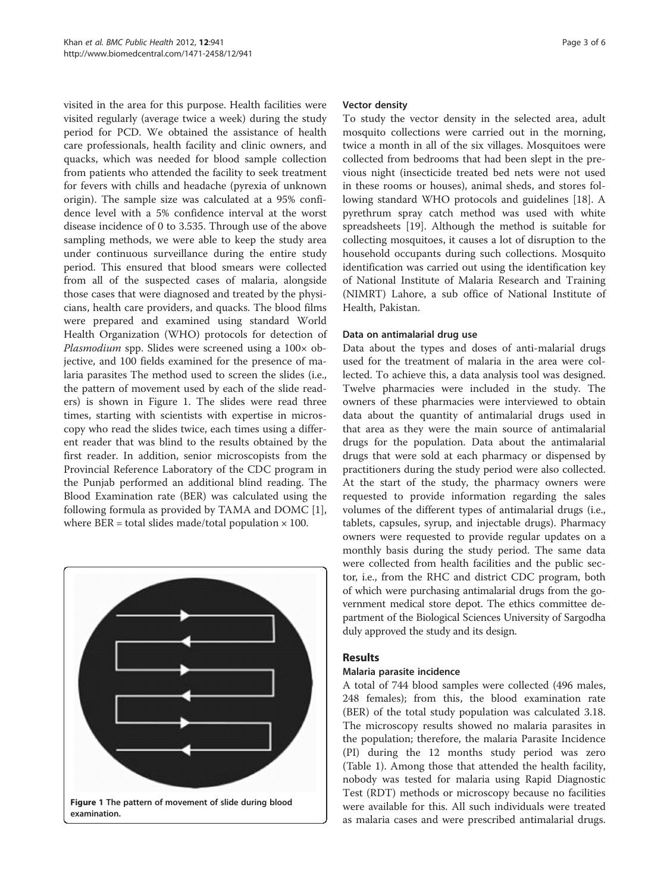visited in the area for this purpose. Health facilities were visited regularly (average twice a week) during the study period for PCD. We obtained the assistance of health care professionals, health facility and clinic owners, and quacks, which was needed for blood sample collection from patients who attended the facility to seek treatment for fevers with chills and headache (pyrexia of unknown origin). The sample size was calculated at a 95% confidence level with a 5% confidence interval at the worst disease incidence of 0 to 3.535. Through use of the above sampling methods, we were able to keep the study area under continuous surveillance during the entire study period. This ensured that blood smears were collected from all of the suspected cases of malaria, alongside those cases that were diagnosed and treated by the physicians, health care providers, and quacks. The blood films were prepared and examined using standard World Health Organization (WHO) protocols for detection of Plasmodium spp. Slides were screened using a 100× objective, and 100 fields examined for the presence of malaria parasites The method used to screen the slides (i.e., the pattern of movement used by each of the slide readers) is shown in Figure 1. The slides were read three times, starting with scientists with expertise in microscopy who read the slides twice, each times using a different reader that was blind to the results obtained by the first reader. In addition, senior microscopists from the Provincial Reference Laboratory of the CDC program in the Punjab performed an additional blind reading. The Blood Examination rate (BER) was calculated using the following formula as provided by TAMA and DOMC [\[1](#page-5-0)], where  $BER = total$  slides made/total population  $\times 100$ .



#### Vector density

To study the vector density in the selected area, adult mosquito collections were carried out in the morning, twice a month in all of the six villages. Mosquitoes were collected from bedrooms that had been slept in the previous night (insecticide treated bed nets were not used in these rooms or houses), animal sheds, and stores following standard WHO protocols and guidelines [[18](#page-5-0)]. A pyrethrum spray catch method was used with white spreadsheets [\[19\]](#page-5-0). Although the method is suitable for collecting mosquitoes, it causes a lot of disruption to the household occupants during such collections. Mosquito identification was carried out using the identification key of National Institute of Malaria Research and Training (NIMRT) Lahore, a sub office of National Institute of Health, Pakistan.

#### Data on antimalarial drug use

Data about the types and doses of anti-malarial drugs used for the treatment of malaria in the area were collected. To achieve this, a data analysis tool was designed. Twelve pharmacies were included in the study. The owners of these pharmacies were interviewed to obtain data about the quantity of antimalarial drugs used in that area as they were the main source of antimalarial drugs for the population. Data about the antimalarial drugs that were sold at each pharmacy or dispensed by practitioners during the study period were also collected. At the start of the study, the pharmacy owners were requested to provide information regarding the sales volumes of the different types of antimalarial drugs (i.e., tablets, capsules, syrup, and injectable drugs). Pharmacy owners were requested to provide regular updates on a monthly basis during the study period. The same data were collected from health facilities and the public sector, i.e., from the RHC and district CDC program, both of which were purchasing antimalarial drugs from the government medical store depot. The ethics committee department of the Biological Sciences University of Sargodha duly approved the study and its design.

#### Results

# Malaria parasite incidence

A total of 744 blood samples were collected (496 males, 248 females); from this, the blood examination rate (BER) of the total study population was calculated 3.18. The microscopy results showed no malaria parasites in the population; therefore, the malaria Parasite Incidence (PI) during the 12 months study period was zero (Table [1](#page-3-0)). Among those that attended the health facility, nobody was tested for malaria using Rapid Diagnostic Test (RDT) methods or microscopy because no facilities were available for this. All such individuals were treated as malaria cases and were prescribed antimalarial drugs.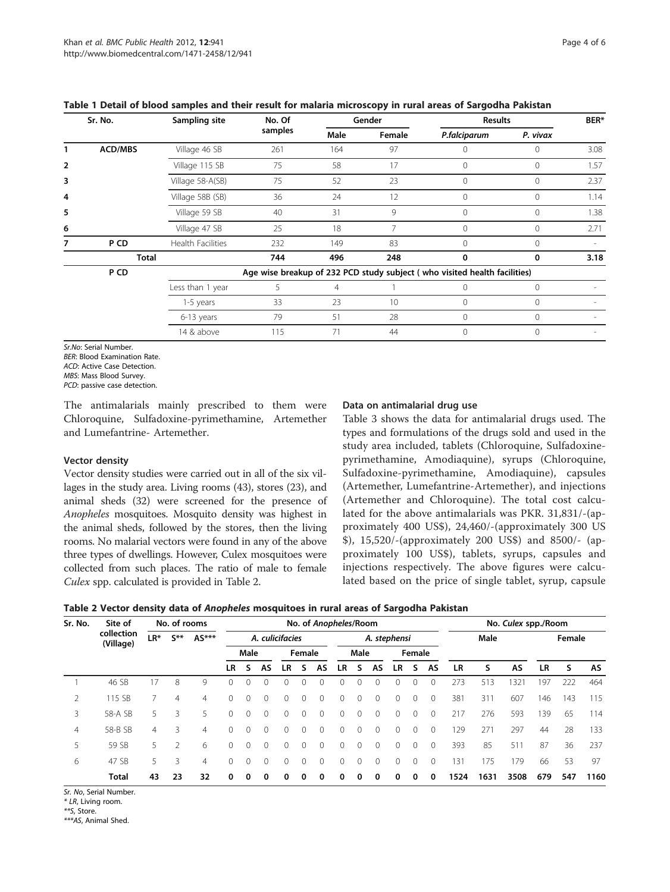| Page 4 of 6 |
|-------------|
|-------------|

| Sr. No.        |                | Sampling site                                                             | No. Of  |                | Gender         | <b>Results</b> | BER*         |      |  |  |  |
|----------------|----------------|---------------------------------------------------------------------------|---------|----------------|----------------|----------------|--------------|------|--|--|--|
|                |                |                                                                           | samples | <b>Male</b>    | Female         | P.falciparum   | P. vivax     |      |  |  |  |
|                | <b>ACD/MBS</b> | Village 46 SB                                                             | 261     | 164            | 97             | $\Omega$       | $\Omega$     | 3.08 |  |  |  |
| $\overline{2}$ |                | Village 115 SB                                                            | 75      | 58             | 17             | 0              | $\mathbf{0}$ | 1.57 |  |  |  |
| 3              |                | Village 58-A(SB)                                                          | 75      | 52             | 23             | $\Omega$       | $\Omega$     | 2.37 |  |  |  |
| 4              |                | Village 58B (SB)                                                          | 36      | 24             | 12             | $\Omega$       | $\Omega$     | 1.14 |  |  |  |
| 5              |                | Village 59 SB                                                             | 40      | 31             | 9              | $\Omega$       | $\Omega$     | 1.38 |  |  |  |
| 6              |                | Village 47 SB                                                             | 25      | 18             | $\overline{7}$ | $\Omega$       | $\Omega$     | 2.71 |  |  |  |
| 7              | P CD           | <b>Health Facilities</b>                                                  |         | 149            | 83             | $\Omega$       | $\Omega$     |      |  |  |  |
|                | <b>Total</b>   |                                                                           | 744     | 496            | 248            | 0              | 0            | 3.18 |  |  |  |
|                | P CD           | Age wise breakup of 232 PCD study subject (who visited health facilities) |         |                |                |                |              |      |  |  |  |
|                |                | Less than 1 year                                                          | 5       | $\overline{4}$ |                | $\mathbf 0$    | $\mathbf{0}$ |      |  |  |  |
|                |                | 1-5 years                                                                 | 33      | 23             | 10             | $\Omega$       | $\Omega$     |      |  |  |  |
|                |                | 6-13 years                                                                | 79      | 51             | 28             | 0              | $\mathbf{0}$ |      |  |  |  |
|                |                | 14 & above                                                                | 115     | 71             | 44             | $\Omega$       | $\Omega$     |      |  |  |  |

<span id="page-3-0"></span>Table 1 Detail of blood samples and their result for malaria microscopy in rural areas of Sargodha Pakistan

Sr.No: Serial Number.

BER: Blood Examination Rate.

ACD: Active Case Detection. MBS: Mass Blood Survey.

PCD: passive case detection.

The antimalarials mainly prescribed to them were Chloroquine, Sulfadoxine-pyrimethamine, Artemether and Lumefantrine- Artemether.

# Vector density

Vector density studies were carried out in all of the six villages in the study area. Living rooms (43), stores (23), and animal sheds (32) were screened for the presence of Anopheles mosquitoes. Mosquito density was highest in the animal sheds, followed by the stores, then the living rooms. No malarial vectors were found in any of the above three types of dwellings. However, Culex mosquitoes were collected from such places. The ratio of male to female Culex spp. calculated is provided in Table 2.

### Data on antimalarial drug use

Table [3](#page-4-0) shows the data for antimalarial drugs used. The types and formulations of the drugs sold and used in the study area included, tablets (Chloroquine, Sulfadoxinepyrimethamine, Amodiaquine), syrups (Chloroquine, Sulfadoxine-pyrimethamine, Amodiaquine), capsules (Artemether, Lumefantrine-Artemether), and injections (Artemether and Chloroquine). The total cost calculated for the above antimalarials was PKR. 31,831/-(approximately 400 US\$), 24,460/-(approximately 300 US \$), 15,520/-(approximately 200 US\$) and 8500/- (approximately 100 US\$), tablets, syrups, capsules and injections respectively. The above figures were calculated based on the price of single tablet, syrup, capsule

|  |  |  | Table 2 Vector density data of <i>Anopheles</i> mosquitoes in rural areas of Sargodha Pakistan |
|--|--|--|------------------------------------------------------------------------------------------------|
|--|--|--|------------------------------------------------------------------------------------------------|

| Sr. No. | Site of                 | No. of rooms |          |         | No. of Anopheles/Room |                                 |              |          |             |              |          |          |             | No. Culex spp./Room |          |              |      |      |      |     |     |      |
|---------|-------------------------|--------------|----------|---------|-----------------------|---------------------------------|--------------|----------|-------------|--------------|----------|----------|-------------|---------------------|----------|--------------|------|------|------|-----|-----|------|
|         | collection<br>(Village) | LR*          | $S^{**}$ | $AS***$ |                       | A. culicifacies<br>A. stephensi |              |          |             |              |          | Male     |             |                     | Female   |              |      |      |      |     |     |      |
|         |                         |              |          |         |                       | Male                            |              |          |             | Female       |          | Male     |             | Female              |          |              |      |      |      |     |     |      |
|         |                         |              |          |         | LR                    | s                               | AS           | LR       | s           | AS           | LR       | S        | AS          | LR                  | s        | AS           | LR   | s    | AS   | LR  | s   | ΑS   |
|         | 46 SB                   | 17           | 8        | 9       | 0                     | 0                               | 0            |          |             |              |          |          |             | 0                   | 0        | 0            | 273  | 513  | 1321 | 197 | 222 | 464  |
| 2       | 115 SB                  |              | 4        | 4       | 0                     | 0                               | 0            | $\Omega$ | 0           | $\mathbf{0}$ | 0        | $\Omega$ | $\Omega$    | $\Omega$            | 0        | 0            | 381  | 311  | 607  | 146 | 143 | 115  |
| 3       | 58-A SB                 | 5            | 3        | 5       | 0                     | $\Omega$                        | $\mathbf{0}$ | $\Omega$ | $\mathbf 0$ | $\mathbf 0$  | $\Omega$ | $\Omega$ | $\circ$     | 0                   | 0        | 0            | 217  | 276  | 593  | 139 | 65  | 114  |
| 4       | 58-B SB                 | 4            | 3        | 4       | 0                     | $\Omega$                        | $\Omega$     | $\Omega$ | $\Omega$    | $\mathbf{0}$ | $\Omega$ | $\Omega$ | $\Omega$    | $\Omega$            | $\Omega$ | $\Omega$     | 29   | 271  | 297  | 44  | 28  | 133  |
| 5.      | 59 SB                   | 5            |          | 6       | 0                     | $\Omega$                        | 0            | $\Omega$ | 0           | $\mathbf{0}$ | $\Omega$ | $\Omega$ | $\mathbf 0$ | 0                   | 0        | $\mathbf{0}$ | 393  | 85   | 511  | 87  | 36  | 237  |
| 6       | 47 SB                   | 5            | 3        | 4       | 0                     | 0                               | $\Omega$     | $\Omega$ | $\Omega$    | $\mathbf{0}$ | 0        | $\Omega$ | $\Omega$    | $\Omega$            | $\Omega$ | $\Omega$     | 131  | 175  | 179  | 66  | 53  | 97   |
|         | <b>Total</b>            | 43           | 23       | 32      | 0                     | 0                               | 0            | 0        | 0           | 0            | 0        | 0        | 0           | 0                   | 0        | 0            | 1524 | 1631 | 3508 | 679 | 547 | 1160 |

Sr. No, Serial Number.

\* LR, Living room.

\*\*S, Store.

\*\*\*AS, Animal Shed.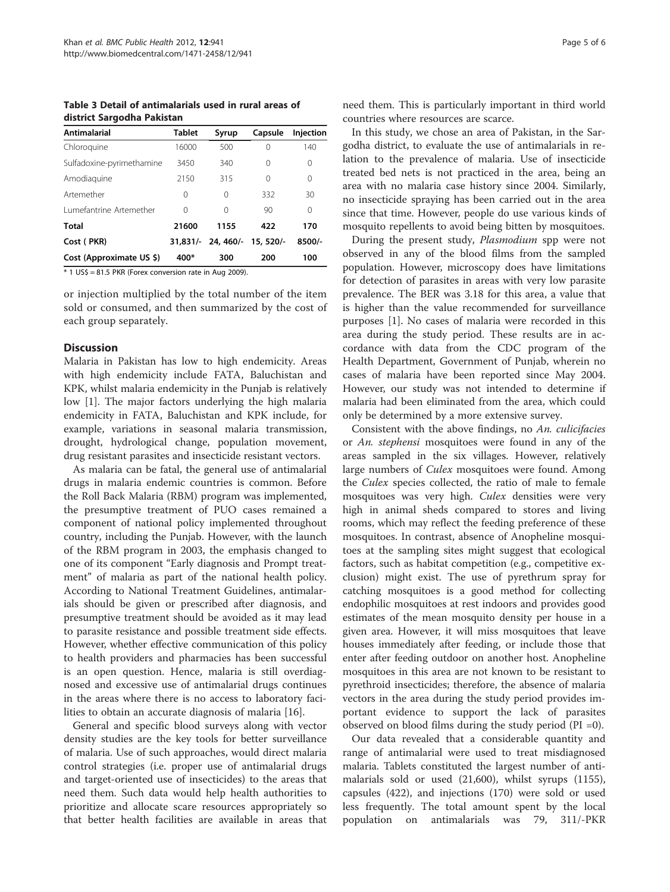<span id="page-4-0"></span>Table 3 Detail of antimalarials used in rural areas of district Sargodha Pakistan

| Antimalarial              | <b>Tablet</b> | Syrup               | Capsule | Injection |
|---------------------------|---------------|---------------------|---------|-----------|
| Chloroquine               | 16000         | 500                 | 0       | 140       |
| Sulfadoxine-pyrimethamine | 3450          | 340                 | 0       | 0         |
| Amodiaguine               | 2150          | 315                 | 0       | 0         |
| Artemether                | $\Omega$      | 0                   | 332     | 30        |
| Lumefantrine Artemether   | $\Omega$      | 0                   | 90      | $\Omega$  |
| Total                     | 21600         | 1155                | 422     | 170       |
| Cost (PKR)                | $31.831/-$    | 24, 460/- 15, 520/- |         | 8500/-    |
| Cost (Approximate US \$)  | 400*          | 300                 | 200     | 100       |

\* 1 US\$ = 81.5 PKR (Forex conversion rate in Aug 2009).

or injection multiplied by the total number of the item sold or consumed, and then summarized by the cost of each group separately.

#### **Discussion**

Malaria in Pakistan has low to high endemicity. Areas with high endemicity include FATA, Baluchistan and KPK, whilst malaria endemicity in the Punjab is relatively low [[1\]](#page-5-0). The major factors underlying the high malaria endemicity in FATA, Baluchistan and KPK include, for example, variations in seasonal malaria transmission, drought, hydrological change, population movement, drug resistant parasites and insecticide resistant vectors.

As malaria can be fatal, the general use of antimalarial drugs in malaria endemic countries is common. Before the Roll Back Malaria (RBM) program was implemented, the presumptive treatment of PUO cases remained a component of national policy implemented throughout country, including the Punjab. However, with the launch of the RBM program in 2003, the emphasis changed to one of its component "Early diagnosis and Prompt treatment" of malaria as part of the national health policy. According to National Treatment Guidelines, antimalarials should be given or prescribed after diagnosis, and presumptive treatment should be avoided as it may lead to parasite resistance and possible treatment side effects. However, whether effective communication of this policy to health providers and pharmacies has been successful is an open question. Hence, malaria is still overdiagnosed and excessive use of antimalarial drugs continues in the areas where there is no access to laboratory facilities to obtain an accurate diagnosis of malaria [\[16\]](#page-5-0).

General and specific blood surveys along with vector density studies are the key tools for better surveillance of malaria. Use of such approaches, would direct malaria control strategies (i.e. proper use of antimalarial drugs and target-oriented use of insecticides) to the areas that need them. Such data would help health authorities to prioritize and allocate scare resources appropriately so that better health facilities are available in areas that

need them. This is particularly important in third world countries where resources are scarce.

In this study, we chose an area of Pakistan, in the Sargodha district, to evaluate the use of antimalarials in relation to the prevalence of malaria. Use of insecticide treated bed nets is not practiced in the area, being an area with no malaria case history since 2004. Similarly, no insecticide spraying has been carried out in the area since that time. However, people do use various kinds of mosquito repellents to avoid being bitten by mosquitoes.

During the present study, Plasmodium spp were not observed in any of the blood films from the sampled population. However, microscopy does have limitations for detection of parasites in areas with very low parasite prevalence. The BER was 3.18 for this area, a value that is higher than the value recommended for surveillance purposes [\[1](#page-5-0)]. No cases of malaria were recorded in this area during the study period. These results are in accordance with data from the CDC program of the Health Department, Government of Punjab, wherein no cases of malaria have been reported since May 2004. However, our study was not intended to determine if malaria had been eliminated from the area, which could only be determined by a more extensive survey.

Consistent with the above findings, no An. culicifacies or An. stephensi mosquitoes were found in any of the areas sampled in the six villages. However, relatively large numbers of *Culex* mosquitoes were found. Among the Culex species collected, the ratio of male to female mosquitoes was very high. Culex densities were very high in animal sheds compared to stores and living rooms, which may reflect the feeding preference of these mosquitoes. In contrast, absence of Anopheline mosquitoes at the sampling sites might suggest that ecological factors, such as habitat competition (e.g., competitive exclusion) might exist. The use of pyrethrum spray for catching mosquitoes is a good method for collecting endophilic mosquitoes at rest indoors and provides good estimates of the mean mosquito density per house in a given area. However, it will miss mosquitoes that leave houses immediately after feeding, or include those that enter after feeding outdoor on another host. Anopheline mosquitoes in this area are not known to be resistant to pyrethroid insecticides; therefore, the absence of malaria vectors in the area during the study period provides important evidence to support the lack of parasites observed on blood films during the study period (PI =0).

Our data revealed that a considerable quantity and range of antimalarial were used to treat misdiagnosed malaria. Tablets constituted the largest number of antimalarials sold or used (21,600), whilst syrups (1155), capsules (422), and injections (170) were sold or used less frequently. The total amount spent by the local population on antimalarials was 79, 311/-PKR